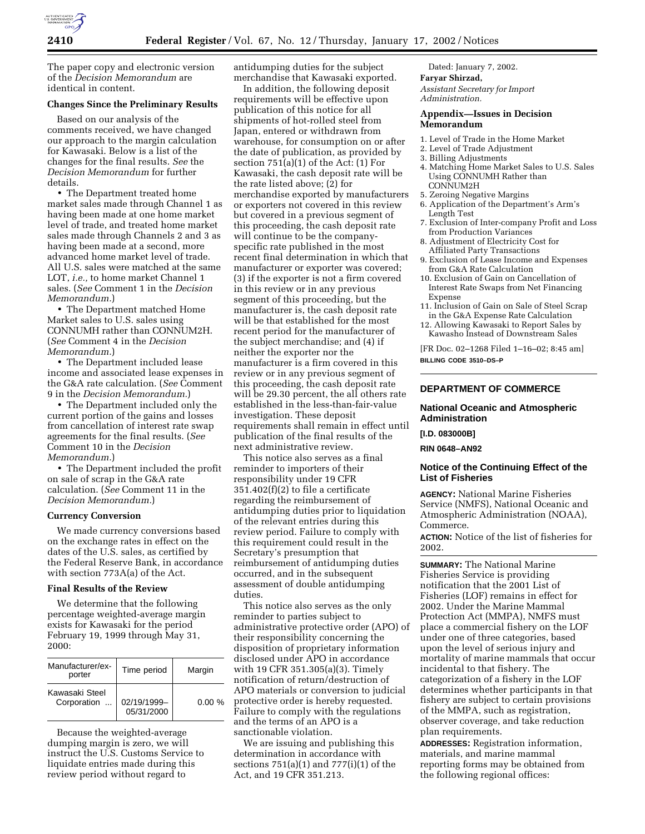

The paper copy and electronic version of the *Decision Memorandum* are identical in content.

#### **Changes Since the Preliminary Results**

Based on our analysis of the comments received, we have changed our approach to the margin calculation for Kawasaki. Below is a list of the changes for the final results. *See* the *Decision Memorandum* for further details.

• The Department treated home market sales made through Channel 1 as having been made at one home market level of trade, and treated home market sales made through Channels 2 and 3 as having been made at a second, more advanced home market level of trade. All U.S. sales were matched at the same LOT, *i.e.,* to home market Channel 1 sales. (*See* Comment 1 in the *Decision Memorandum.*)

• The Department matched Home Market sales to U.S. sales using CONNUMH rather than CONNUM2H. (*See* Comment 4 in the *Decision Memorandum.*)

• The Department included lease income and associated lease expenses in the G&A rate calculation. (*See* Comment 9 in the *Decision Memorandum.*)

• The Department included only the current portion of the gains and losses from cancellation of interest rate swap agreements for the final results. (*See* Comment 10 in the *Decision Memorandum.*)

• The Department included the profit on sale of scrap in the G&A rate calculation. (*See* Comment 11 in the *Decision Memorandum.*)

#### **Currency Conversion**

We made currency conversions based on the exchange rates in effect on the dates of the U.S. sales, as certified by the Federal Reserve Bank, in accordance with section 773A(a) of the Act.

## **Final Results of the Review**

We determine that the following percentage weighted-average margin exists for Kawasaki for the period February 19, 1999 through May 31, 2000:

| Manufacturer/ex-<br>porter    | Time period               | Margin    |
|-------------------------------|---------------------------|-----------|
| Kawasaki Steel<br>Corporation | 02/19/1999-<br>05/31/2000 | $0.00 \%$ |

Because the weighted-average dumping margin is zero, we will instruct the U.S. Customs Service to liquidate entries made during this review period without regard to

antidumping duties for the subject merchandise that Kawasaki exported.

In addition, the following deposit requirements will be effective upon publication of this notice for all shipments of hot-rolled steel from Japan, entered or withdrawn from warehouse, for consumption on or after the date of publication, as provided by section  $751(a)(1)$  of the Act:  $(1)$  For Kawasaki, the cash deposit rate will be the rate listed above; (2) for merchandise exported by manufacturers or exporters not covered in this review but covered in a previous segment of this proceeding, the cash deposit rate will continue to be the companyspecific rate published in the most recent final determination in which that manufacturer or exporter was covered; (3) if the exporter is not a firm covered in this review or in any previous segment of this proceeding, but the manufacturer is, the cash deposit rate will be that established for the most recent period for the manufacturer of the subject merchandise; and (4) if neither the exporter nor the manufacturer is a firm covered in this review or in any previous segment of this proceeding, the cash deposit rate will be 29.30 percent, the all others rate established in the less-than-fair-value investigation. These deposit requirements shall remain in effect until publication of the final results of the next administrative review.

This notice also serves as a final reminder to importers of their responsibility under 19 CFR 351.402(f)(2) to file a certificate regarding the reimbursement of antidumping duties prior to liquidation of the relevant entries during this review period. Failure to comply with this requirement could result in the Secretary's presumption that reimbursement of antidumping duties occurred, and in the subsequent assessment of double antidumping duties.

This notice also serves as the only reminder to parties subject to administrative protective order (APO) of their responsibility concerning the disposition of proprietary information disclosed under APO in accordance with 19 CFR 351.305(a)(3). Timely notification of return/destruction of APO materials or conversion to judicial protective order is hereby requested. Failure to comply with the regulations and the terms of an APO is a sanctionable violation.

We are issuing and publishing this determination in accordance with sections 751(a)(1) and 777(i)(1) of the Act, and 19 CFR 351.213.

Dated: January 7, 2002. **Faryar Shirzad,**

*Assistant Secretary for Import Administration.*

#### **Appendix—Issues in Decision Memorandum**

- 1. Level of Trade in the Home Market
- 2. Level of Trade Adjustment
- 3. Billing Adjustments
- 4. Matching Home Market Sales to U.S. Sales Using CONNUMH Rather than CONNUM2H
- 5. Zeroing Negative Margins
- 6. Application of the Department's Arm's Length Test
- 7. Exclusion of Inter-company Profit and Loss from Production Variances
- 8. Adjustment of Electricity Cost for Affiliated Party Transactions
- 9. Exclusion of Lease Income and Expenses from G&A Rate Calculation
- 10. Exclusion of Gain on Cancellation of Interest Rate Swaps from Net Financing Expense
- 11. Inclusion of Gain on Sale of Steel Scrap in the G&A Expense Rate Calculation
- 12. Allowing Kawasaki to Report Sales by Kawasho Instead of Downstream Sales

[FR Doc. 02–1268 Filed 1–16–02; 8:45 am] **BILLING CODE 3510–DS–P**

## **DEPARTMENT OF COMMERCE**

#### **National Oceanic and Atmospheric Administration**

**[I.D. 083000B]**

**RIN 0648–AN92**

## **Notice of the Continuing Effect of the List of Fisheries**

**AGENCY:** National Marine Fisheries Service (NMFS), National Oceanic and Atmospheric Administration (NOAA), Commerce.

**ACTION:** Notice of the list of fisheries for 2002.

**SUMMARY:** The National Marine Fisheries Service is providing notification that the 2001 List of Fisheries (LOF) remains in effect for 2002. Under the Marine Mammal Protection Act (MMPA), NMFS must place a commercial fishery on the LOF under one of three categories, based upon the level of serious injury and mortality of marine mammals that occur incidental to that fishery. The categorization of a fishery in the LOF determines whether participants in that fishery are subject to certain provisions of the MMPA, such as registration, observer coverage, and take reduction plan requirements.

**ADDRESSES:** Registration information, materials, and marine mammal reporting forms may be obtained from the following regional offices: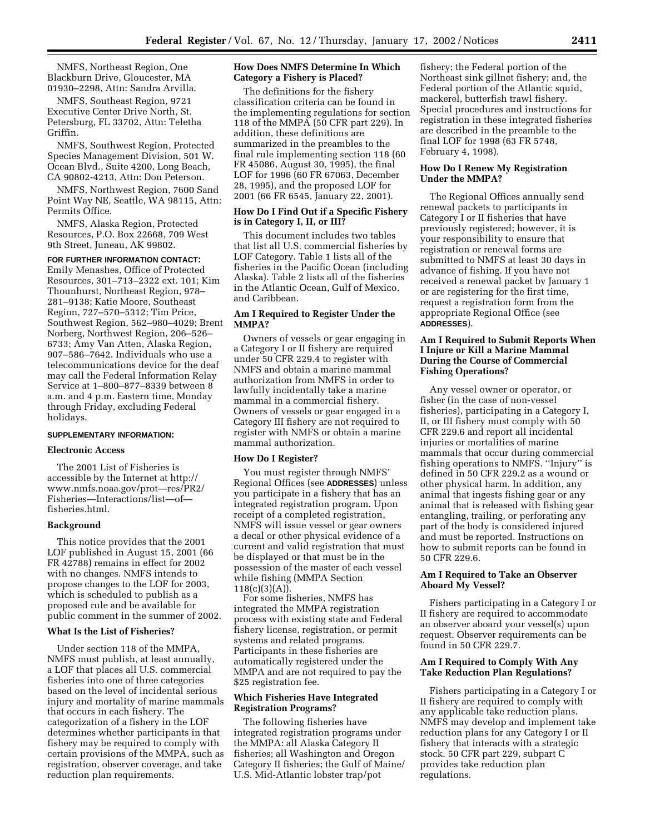NMFS, Northeast Region, One Blackburn Drive, Gloucester, MA 01930–2298, Attn: Sandra Arvilla.

NMFS, Southeast Region, 9721 Executive Center Drive North, St. Petersburg, FL 33702, Attn: Teletha Griffin.

NMFS, Southwest Region, Protected Species Management Division, 501 W. Ocean Blvd., Suite 4200, Long Beach, CA 90802-4213, Attn: Don Peterson.

NMFS, Northwest Region, 7600 Sand Point Way NE, Seattle, WA 98115, Attn: Permits Office.

NMFS, Alaska Region, Protected Resources, P.O. Box 22668, 709 West 9th Street, Juneau, AK 99802.

#### **FOR FURTHER INFORMATION CONTACT:**

Emily Menashes, Office of Protected Resources, 301–713–2322 ext. 101; Kim Thounhurst, Northeast Region, 978– 281–9138; Katie Moore, Southeast Region, 727–570–5312; Tim Price, Southwest Region, 562–980–4029; Brent Norberg, Northwest Region, 206–526– 6733; Amy Van Atten, Alaska Region, 907–586–7642. Individuals who use a telecommunications device for the deaf may call the Federal Information Relay Service at 1–800–877–8339 between 8 a.m. and 4 p.m. Eastern time, Monday through Friday, excluding Federal holidays.

## **SUPPLEMENTARY INFORMATION:**

#### **Electronic Access**

The 2001 List of Fisheries is accessible by the Internet at http:// www.nmfs.noaa.gov/prot—res/PR2/ Fisheries—Interactions/list—of fisheries.html.

#### **Background**

This notice provides that the 2001 LOF published in August 15, 2001 (66 FR 42788) remains in effect for 2002 with no changes. NMFS intends to propose changes to the LOF for 2003, which is scheduled to publish as a proposed rule and be available for public comment in the summer of 2002.

## **What Is the List of Fisheries?**

Under section 118 of the MMPA, NMFS must publish, at least annually, a LOF that places all U.S. commercial fisheries into one of three categories based on the level of incidental serious injury and mortality of marine mammals that occurs in each fishery. The categorization of a fishery in the LOF determines whether participants in that fishery may be required to comply with certain provisions of the MMPA, such as registration, observer coverage, and take reduction plan requirements.

### **How Does NMFS Determine In Which Category a Fishery is Placed?**

The definitions for the fishery classification criteria can be found in the implementing regulations for section 118 of the MMPA (50 CFR part 229). In addition, these definitions are summarized in the preambles to the final rule implementing section 118 (60 FR 45086, August 30, 1995), the final LOF for 1996 (60 FR 67063, December 28, 1995), and the proposed LOF for 2001 (66 FR 6545, January 22, 2001).

#### **How Do I Find Out if a Specific Fishery is in Category I, II, or III?**

This document includes two tables that list all U.S. commercial fisheries by LOF Category. Table 1 lists all of the fisheries in the Pacific Ocean (including Alaska). Table 2 lists all of the fisheries in the Atlantic Ocean, Gulf of Mexico, and Caribbean.

#### **Am I Required to Register Under the MMPA?**

Owners of vessels or gear engaging in a Category I or II fishery are required under 50 CFR 229.4 to register with NMFS and obtain a marine mammal authorization from NMFS in order to lawfully incidentally take a marine mammal in a commercial fishery. Owners of vessels or gear engaged in a Category III fishery are not required to register with NMFS or obtain a marine mammal authorization.

#### **How Do I Register?**

You must register through NMFS' Regional Offices (see **ADDRESSES**) unless you participate in a fishery that has an integrated registration program. Upon receipt of a completed registration, NMFS will issue vessel or gear owners a decal or other physical evidence of a current and valid registration that must be displayed or that must be in the possession of the master of each vessel while fishing (MMPA Section  $118(c)(3)(A))$ .

For some fisheries, NMFS has integrated the MMPA registration process with existing state and Federal fishery license, registration, or permit systems and related programs. Participants in these fisheries are automatically registered under the MMPA and are not required to pay the \$25 registration fee.

#### **Which Fisheries Have Integrated Registration Programs?**

The following fisheries have integrated registration programs under the MMPA: all Alaska Category II fisheries; all Washington and Oregon Category II fisheries; the Gulf of Maine/ U.S. Mid-Atlantic lobster trap/pot

fishery; the Federal portion of the Northeast sink gillnet fishery; and, the Federal portion of the Atlantic squid, mackerel, butterfish trawl fishery. Special procedures and instructions for registration in these integrated fisheries are described in the preamble to the final LOF for 1998 (63 FR 5748, February 4, 1998).

#### **How Do I Renew My Registration Under the MMPA?**

The Regional Offices annually send renewal packets to participants in Category I or II fisheries that have previously registered; however, it is your responsibility to ensure that registration or renewal forms are submitted to NMFS at least 30 days in advance of fishing. If you have not received a renewal packet by January 1 or are registering for the first time, request a registration form from the appropriate Regional Office (see **ADDRESSES**).

## **Am I Required to Submit Reports When I Injure or Kill a Marine Mammal During the Course of Commercial Fishing Operations?**

Any vessel owner or operator, or fisher (in the case of non-vessel fisheries), participating in a Category I, II, or III fishery must comply with 50 CFR 229.6 and report all incidental injuries or mortalities of marine mammals that occur during commercial fishing operations to NMFS. ''Injury'' is defined in 50 CFR 229.2 as a wound or other physical harm. In addition, any animal that ingests fishing gear or any animal that is released with fishing gear entangling, trailing, or perforating any part of the body is considered injured and must be reported. Instructions on how to submit reports can be found in 50 CFR 229.6.

#### **Am I Required to Take an Observer Aboard My Vessel?**

Fishers participating in a Category I or II fishery are required to accommodate an observer aboard your vessel(s) upon request. Observer requirements can be found in 50 CFR 229.7.

#### **Am I Required to Comply With Any Take Reduction Plan Regulations?**

Fishers participating in a Category I or II fishery are required to comply with any applicable take reduction plans. NMFS may develop and implement take reduction plans for any Category I or II fishery that interacts with a strategic stock. 50 CFR part 229, subpart C provides take reduction plan regulations.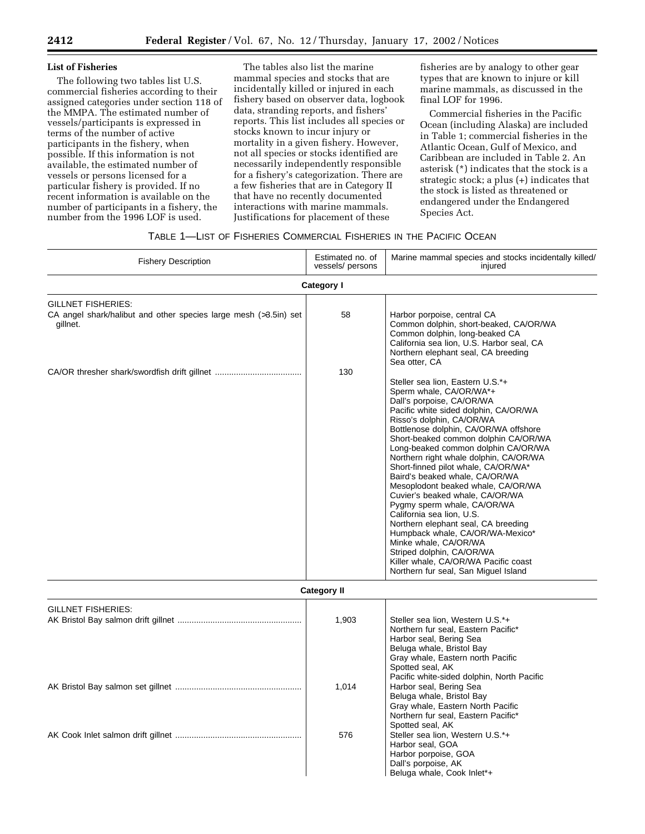## **List of Fisheries**

The following two tables list U.S. commercial fisheries according to their assigned categories under section 118 of the MMPA. The estimated number of vessels/participants is expressed in terms of the number of active participants in the fishery, when possible. If this information is not available, the estimated number of vessels or persons licensed for a particular fishery is provided. If no recent information is available on the number of participants in a fishery, the number from the 1996 LOF is used.

The tables also list the marine mammal species and stocks that are incidentally killed or injured in each fishery based on observer data, logbook data, stranding reports, and fishers' reports. This list includes all species or stocks known to incur injury or mortality in a given fishery. However, not all species or stocks identified are necessarily independently responsible for a fishery's categorization. There are a few fisheries that are in Category II that have no recently documented interactions with marine mammals. Justifications for placement of these

fisheries are by analogy to other gear types that are known to injure or kill marine mammals, as discussed in the final LOF for 1996.

Commercial fisheries in the Pacific Ocean (including Alaska) are included in Table 1; commercial fisheries in the Atlantic Ocean, Gulf of Mexico, and Caribbean are included in Table 2. An asterisk (\*) indicates that the stock is a strategic stock; a plus (+) indicates that the stock is listed as threatened or endangered under the Endangered Species Act.

## TABLE 1—LIST OF FISHERIES COMMERCIAL FISHERIES IN THE PACIFIC OCEAN

| <b>Fishery Description</b>                                                                                | Estimated no. of<br>vessels/ persons | Marine mammal species and stocks incidentally killed/<br>injured                                                                                                                                                                                                                                                                                                                                                                                                                                                                                                                                                                                                                                                                                                |
|-----------------------------------------------------------------------------------------------------------|--------------------------------------|-----------------------------------------------------------------------------------------------------------------------------------------------------------------------------------------------------------------------------------------------------------------------------------------------------------------------------------------------------------------------------------------------------------------------------------------------------------------------------------------------------------------------------------------------------------------------------------------------------------------------------------------------------------------------------------------------------------------------------------------------------------------|
|                                                                                                           | Category I                           |                                                                                                                                                                                                                                                                                                                                                                                                                                                                                                                                                                                                                                                                                                                                                                 |
| <b>GILLNET FISHERIES:</b><br>CA angel shark/halibut and other species large mesh (>3.5in) set<br>gillnet. | 58                                   | Harbor porpoise, central CA<br>Common dolphin, short-beaked, CA/OR/WA<br>Common dolphin, long-beaked CA<br>California sea lion, U.S. Harbor seal, CA<br>Northern elephant seal, CA breeding<br>Sea otter, CA                                                                                                                                                                                                                                                                                                                                                                                                                                                                                                                                                    |
|                                                                                                           | 130                                  | Steller sea lion, Eastern U.S.*+<br>Sperm whale, CA/OR/WA*+<br>Dall's porpoise, CA/OR/WA<br>Pacific white sided dolphin, CA/OR/WA<br>Risso's dolphin, CA/OR/WA<br>Bottlenose dolphin, CA/OR/WA offshore<br>Short-beaked common dolphin CA/OR/WA<br>Long-beaked common dolphin CA/OR/WA<br>Northern right whale dolphin, CA/OR/WA<br>Short-finned pilot whale, CA/OR/WA*<br>Baird's beaked whale, CA/OR/WA<br>Mesoplodont beaked whale, CA/OR/WA<br>Cuvier's beaked whale, CA/OR/WA<br>Pygmy sperm whale, CA/OR/WA<br>California sea lion, U.S.<br>Northern elephant seal, CA breeding<br>Humpback whale, CA/OR/WA-Mexico*<br>Minke whale, CA/OR/WA<br>Striped dolphin, CA/OR/WA<br>Killer whale, CA/OR/WA Pacific coast<br>Northern fur seal, San Miguel Island |
|                                                                                                           | <b>Category II</b>                   |                                                                                                                                                                                                                                                                                                                                                                                                                                                                                                                                                                                                                                                                                                                                                                 |
| <b>GILLNET FISHERIES:</b>                                                                                 | 1,903                                | Steller sea lion, Western U.S.*+<br>Northern fur seal, Eastern Pacific*<br>Harbor seal, Bering Sea<br>Beluga whale, Bristol Bay<br>Gray whale, Eastern north Pacific<br>Spotted seal, AK<br>Pacific white-sided dolphin, North Pacific                                                                                                                                                                                                                                                                                                                                                                                                                                                                                                                          |

Beluga whale, Bristol Bay Gray whale, Eastern North Pacific Northern fur seal, Eastern Pacific\*

Spotted seal, AK

Harbor seal, GOA Harbor porpoise, GOA Dall's porpoise, AK Beluga whale, Cook Inlet\*+

AK Bristol Bay salmon set gillnet ...................................................... 1,014 Harbor seal, Bering Sea

AK Cook Inlet salmon drift gillnet ...................................................... 576 Steller sea lion, Western U.S.\*+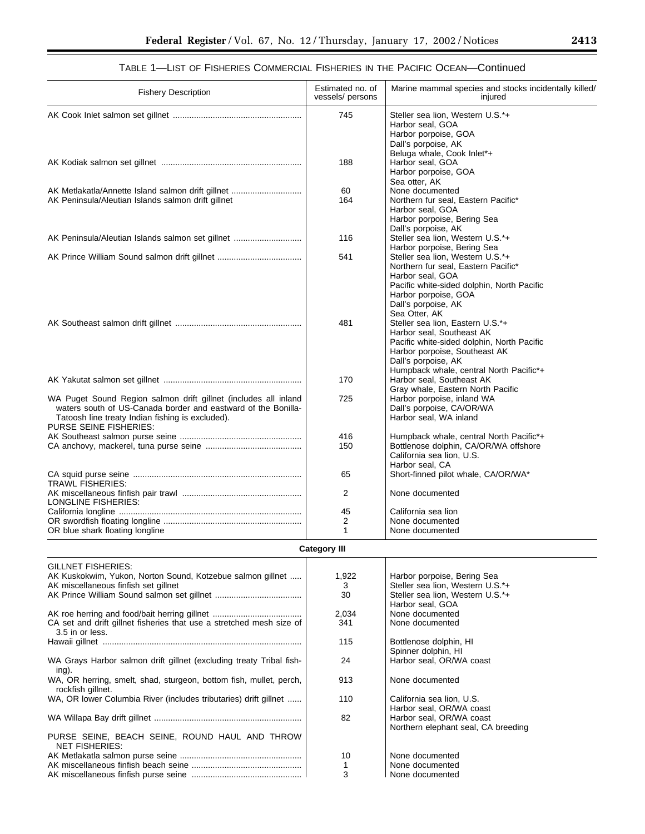| <b>Fishery Description</b>                                                                                                                                                                                     | Estimated no. of<br>vessels/ persons | Marine mammal species and stocks incidentally killed/<br>injured                                                                                                                                               |
|----------------------------------------------------------------------------------------------------------------------------------------------------------------------------------------------------------------|--------------------------------------|----------------------------------------------------------------------------------------------------------------------------------------------------------------------------------------------------------------|
|                                                                                                                                                                                                                | 745                                  | Steller sea lion, Western U.S.*+<br>Harbor seal, GOA<br>Harbor porpoise, GOA<br>Dall's porpoise, AK                                                                                                            |
|                                                                                                                                                                                                                | 188                                  | Beluga whale, Cook Inlet*+<br>Harbor seal, GOA<br>Harbor porpoise, GOA<br>Sea otter, AK                                                                                                                        |
| AK Metlakatla/Annette Island salmon drift gillnet                                                                                                                                                              | 60                                   | None documented                                                                                                                                                                                                |
| AK Peninsula/Aleutian Islands salmon drift gillnet                                                                                                                                                             | 164                                  | Northern fur seal. Eastern Pacific*                                                                                                                                                                            |
|                                                                                                                                                                                                                |                                      | Harbor seal, GOA<br>Harbor porpoise, Bering Sea<br>Dall's porpoise, AK                                                                                                                                         |
| AK Peninsula/Aleutian Islands salmon set gillnet                                                                                                                                                               | 116                                  | Steller sea lion, Western U.S.*+<br>Harbor porpoise, Bering Sea                                                                                                                                                |
|                                                                                                                                                                                                                | 541                                  | Steller sea lion, Western U.S.*+<br>Northern fur seal, Eastern Pacific*<br>Harbor seal, GOA<br>Pacific white-sided dolphin, North Pacific<br>Harbor porpoise, GOA<br>Dall's porpoise, AK<br>Sea Otter, AK      |
|                                                                                                                                                                                                                | 481                                  | Steller sea lion, Eastern U.S.*+<br>Harbor seal, Southeast AK<br>Pacific white-sided dolphin, North Pacific<br>Harbor porpoise, Southeast AK<br>Dall's porpoise, AK<br>Humpback whale, central North Pacific*+ |
|                                                                                                                                                                                                                | 170                                  | Harbor seal, Southeast AK<br>Gray whale, Eastern North Pacific                                                                                                                                                 |
| WA Puget Sound Region salmon drift gillnet (includes all inland<br>waters south of US-Canada border and eastward of the Bonilla-<br>Tatoosh line treaty Indian fishing is excluded).<br>PURSE SEINE FISHERIES: | 725                                  | Harbor porpoise, inland WA<br>Dall's porpoise, CA/OR/WA<br>Harbor seal, WA inland                                                                                                                              |
|                                                                                                                                                                                                                | 416                                  | Humpback whale, central North Pacific*+                                                                                                                                                                        |
|                                                                                                                                                                                                                | 150                                  | Bottlenose dolphin, CA/OR/WA offshore<br>California sea lion, U.S.<br>Harbor seal. CA                                                                                                                          |
| <b>TRAWL FISHERIES:</b>                                                                                                                                                                                        | 65                                   | Short-finned pilot whale, CA/OR/WA*                                                                                                                                                                            |
| LONGLINE FISHERIES:                                                                                                                                                                                            | 2                                    | None documented                                                                                                                                                                                                |
|                                                                                                                                                                                                                | 45                                   | California sea lion                                                                                                                                                                                            |
|                                                                                                                                                                                                                | 2                                    | None documented                                                                                                                                                                                                |
| OR blue shark floating longline                                                                                                                                                                                | 1                                    | None documented                                                                                                                                                                                                |

# TABLE 1—LIST OF FISHERIES COMMERCIAL FISHERIES IN THE PACIFIC OCEAN—Continued

## **Category III**

| <b>GILLNET FISHERIES:</b>                                            |       |                                     |
|----------------------------------------------------------------------|-------|-------------------------------------|
| AK Kuskokwim, Yukon, Norton Sound, Kotzebue salmon gillnet           | 1,922 | Harbor porpoise, Bering Sea         |
| AK miscellaneous finfish set gillnet                                 | 3     | Steller sea lion, Western U.S.*+    |
|                                                                      | 30    | Steller sea lion, Western U.S.*+    |
|                                                                      |       | Harbor seal, GOA                    |
|                                                                      | 2,034 | None documented                     |
| CA set and drift gillnet fisheries that use a stretched mesh size of | 341   | None documented                     |
| 3.5 in or less.                                                      |       |                                     |
|                                                                      | 115   | Bottlenose dolphin, HI              |
|                                                                      |       | Spinner dolphin, HI                 |
| WA Grays Harbor salmon drift gillnet (excluding treaty Tribal fish-  | 24    | Harbor seal, OR/WA coast            |
| ing).                                                                |       |                                     |
| WA, OR herring, smelt, shad, sturgeon, bottom fish, mullet, perch,   | 913   | None documented                     |
| rockfish gillnet.                                                    |       |                                     |
| WA, OR lower Columbia River (includes tributaries) drift gillnet     | 110   | California sea lion, U.S.           |
|                                                                      |       | Harbor seal, OR/WA coast            |
|                                                                      | 82    | Harbor seal, OR/WA coast            |
|                                                                      |       | Northern elephant seal, CA breeding |
| PURSE SEINE, BEACH SEINE, ROUND HAUL AND THROW                       |       |                                     |
| <b>NET FISHERIES:</b>                                                |       |                                     |
|                                                                      | 10    | None documented                     |
|                                                                      |       | None documented                     |
|                                                                      | 3     | None documented                     |

 $\equiv$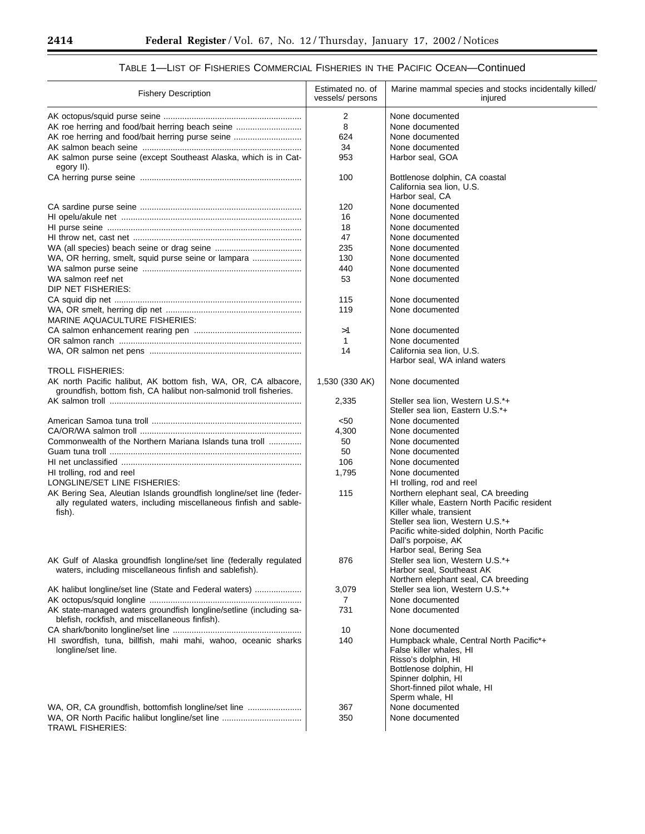E

÷.

| <b>Fishery Description</b>                                                                                                                          | Estimated no. of<br>vessels/ persons | Marine mammal species and stocks incidentally killed/<br>injured                                               |
|-----------------------------------------------------------------------------------------------------------------------------------------------------|--------------------------------------|----------------------------------------------------------------------------------------------------------------|
|                                                                                                                                                     | 2                                    | None documented                                                                                                |
| AK roe herring and food/bait herring beach seine                                                                                                    | 8                                    | None documented                                                                                                |
| AK roe herring and food/bait herring purse seine                                                                                                    | 624                                  | None documented                                                                                                |
|                                                                                                                                                     | 34                                   | None documented                                                                                                |
| AK salmon purse seine (except Southeast Alaska, which is in Cat-<br>egory II).                                                                      | 953                                  | Harbor seal, GOA                                                                                               |
|                                                                                                                                                     | 100                                  | Bottlenose dolphin, CA coastal                                                                                 |
|                                                                                                                                                     |                                      | California sea lion, U.S.<br>Harbor seal, CA                                                                   |
|                                                                                                                                                     | 120                                  | None documented                                                                                                |
|                                                                                                                                                     | 16                                   | None documented                                                                                                |
|                                                                                                                                                     | 18                                   | None documented                                                                                                |
|                                                                                                                                                     | 47                                   |                                                                                                                |
|                                                                                                                                                     |                                      | None documented                                                                                                |
|                                                                                                                                                     | 235                                  | None documented                                                                                                |
| WA, OR herring, smelt, squid purse seine or lampara                                                                                                 | 130                                  | None documented                                                                                                |
|                                                                                                                                                     | 440                                  | None documented                                                                                                |
| WA salmon reef net<br>DIP NET FISHERIES:                                                                                                            | 53                                   | None documented                                                                                                |
|                                                                                                                                                     | 115                                  | None documented                                                                                                |
| <b>MARINE AQUACULTURE FISHERIES:</b>                                                                                                                | 119                                  | None documented                                                                                                |
|                                                                                                                                                     | >1                                   | None documented                                                                                                |
|                                                                                                                                                     | 1                                    | None documented                                                                                                |
|                                                                                                                                                     | 14                                   | California sea lion, U.S.                                                                                      |
| <b>TROLL FISHERIES:</b>                                                                                                                             |                                      | Harbor seal, WA inland waters                                                                                  |
|                                                                                                                                                     |                                      |                                                                                                                |
| AK north Pacific halibut, AK bottom fish, WA, OR, CA albacore,<br>groundfish, bottom fish, CA halibut non-salmonid troll fisheries.                 | 1,530 (330 AK)                       | None documented                                                                                                |
|                                                                                                                                                     | 2,335                                | Steller sea lion, Western U.S.*+                                                                               |
|                                                                                                                                                     |                                      | Steller sea lion, Eastern U.S.*+                                                                               |
|                                                                                                                                                     | < 50                                 | None documented                                                                                                |
|                                                                                                                                                     | 4,300                                | None documented                                                                                                |
| Commonwealth of the Northern Mariana Islands tuna troll                                                                                             | 50                                   | None documented                                                                                                |
|                                                                                                                                                     | 50                                   | None documented                                                                                                |
|                                                                                                                                                     | 106                                  | None documented                                                                                                |
| HI trolling, rod and reel                                                                                                                           | 1,795                                | None documented                                                                                                |
| LONGLINE/SET LINE FISHERIES:                                                                                                                        |                                      | HI trolling, rod and reel                                                                                      |
| AK Bering Sea, Aleutian Islands groundfish longline/set line (feder-<br>ally regulated waters, including miscellaneous finfish and sable-<br>fish). | 115                                  | Northern elephant seal, CA breeding<br>Killer whale, Eastern North Pacific resident<br>Killer whale, transient |
|                                                                                                                                                     |                                      | Steller sea lion, Western U.S.*+                                                                               |
|                                                                                                                                                     |                                      | Pacific white-sided dolphin, North Pacific                                                                     |
|                                                                                                                                                     |                                      | Dall's porpoise, AK                                                                                            |
|                                                                                                                                                     |                                      | Harbor seal, Bering Sea                                                                                        |
| AK Gulf of Alaska groundfish longline/set line (federally regulated                                                                                 | 876                                  | Steller sea lion, Western U.S.*+                                                                               |
| waters, including miscellaneous finfish and sablefish).                                                                                             |                                      | Harbor seal, Southeast AK                                                                                      |
|                                                                                                                                                     |                                      | Northern elephant seal, CA breeding                                                                            |
| AK halibut longline/set line (State and Federal waters)                                                                                             | 3,079                                | Steller sea lion, Western U.S.*+                                                                               |
|                                                                                                                                                     | 7                                    | None documented                                                                                                |
| AK state-managed waters groundfish longline/setline (including sa-                                                                                  | 731                                  | None documented                                                                                                |
| blefish, rockfish, and miscellaneous finfish).                                                                                                      |                                      |                                                                                                                |
|                                                                                                                                                     | 10                                   | None documented                                                                                                |
| HI swordfish, tuna, billfish, mahi mahi, wahoo, oceanic sharks                                                                                      | 140                                  | Humpback whale, Central North Pacific*+                                                                        |
| longline/set line.                                                                                                                                  |                                      | False killer whales, HI                                                                                        |
|                                                                                                                                                     |                                      | Risso's dolphin, HI                                                                                            |
|                                                                                                                                                     |                                      | Bottlenose dolphin, HI                                                                                         |
|                                                                                                                                                     |                                      | Spinner dolphin, HI                                                                                            |
|                                                                                                                                                     |                                      | Short-finned pilot whale, HI                                                                                   |
|                                                                                                                                                     |                                      | Sperm whale, HI                                                                                                |
| WA, OR, CA groundfish, bottomfish longline/set line                                                                                                 | 367                                  | None documented                                                                                                |
| WA, OR North Pacific halibut longline/set line                                                                                                      | 350                                  | None documented                                                                                                |
| TRAWL FISHERIES:                                                                                                                                    |                                      |                                                                                                                |

# TABLE 1—LIST OF FISHERIES COMMERCIAL FISHERIES IN THE PACIFIC OCEAN—Continued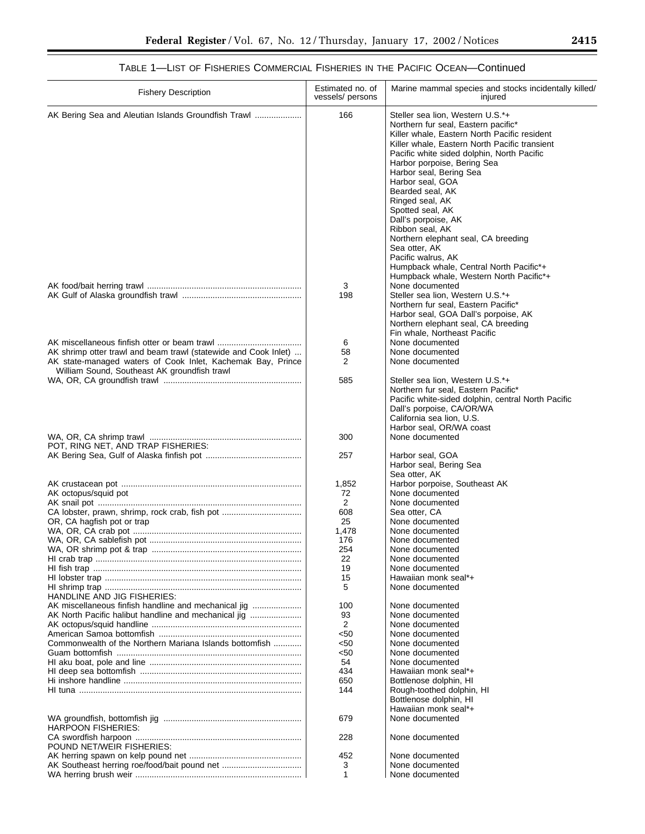| <b>Fishery Description</b>                                                                                                                                                     | Estimated no. of<br>vessels/ persons | Marine mammal species and stocks incidentally killed/<br>injured                                                                                                                                                                                                                                                                                                                                                                                                                                                                                                              |
|--------------------------------------------------------------------------------------------------------------------------------------------------------------------------------|--------------------------------------|-------------------------------------------------------------------------------------------------------------------------------------------------------------------------------------------------------------------------------------------------------------------------------------------------------------------------------------------------------------------------------------------------------------------------------------------------------------------------------------------------------------------------------------------------------------------------------|
| AK Bering Sea and Aleutian Islands Groundfish Trawl                                                                                                                            | 166                                  | Steller sea lion, Western U.S.*+<br>Northern fur seal, Eastern pacific*<br>Killer whale, Eastern North Pacific resident<br>Killer whale, Eastern North Pacific transient<br>Pacific white sided dolphin, North Pacific<br>Harbor porpoise, Bering Sea<br>Harbor seal, Bering Sea<br>Harbor seal, GOA<br>Bearded seal, AK<br>Ringed seal, AK<br>Spotted seal, AK<br>Dall's porpoise, AK<br>Ribbon seal. AK<br>Northern elephant seal, CA breeding<br>Sea otter, AK<br>Pacific walrus, AK<br>Humpback whale, Central North Pacific*+<br>Humpback whale, Western North Pacific*+ |
|                                                                                                                                                                                | 3<br>198                             | None documented<br>Steller sea lion, Western U.S.*+<br>Northern fur seal, Eastern Pacific*<br>Harbor seal, GOA Dall's porpoise, AK<br>Northern elephant seal, CA breeding<br>Fin whale, Northeast Pacific                                                                                                                                                                                                                                                                                                                                                                     |
| AK miscellaneous finfish otter or beam trawl                                                                                                                                   |                                      |                                                                                                                                                                                                                                                                                                                                                                                                                                                                                                                                                                               |
|                                                                                                                                                                                | 6                                    | None documented                                                                                                                                                                                                                                                                                                                                                                                                                                                                                                                                                               |
| AK shrimp otter trawl and beam trawl (statewide and Cook Inlet)<br>AK state-managed waters of Cook Inlet, Kachemak Bay, Prince<br>William Sound, Southeast AK groundfish trawl | 58<br>2                              | None documented<br>None documented                                                                                                                                                                                                                                                                                                                                                                                                                                                                                                                                            |
|                                                                                                                                                                                | 585                                  | Steller sea lion, Western U.S.*+                                                                                                                                                                                                                                                                                                                                                                                                                                                                                                                                              |
|                                                                                                                                                                                | 300                                  | Northern fur seal, Eastern Pacific*<br>Pacific white-sided dolphin, central North Pacific<br>Dall's porpoise, CA/OR/WA<br>California sea lion, U.S.<br>Harbor seal, OR/WA coast<br>None documented                                                                                                                                                                                                                                                                                                                                                                            |
| POT, RING NET, AND TRAP FISHERIES:                                                                                                                                             |                                      |                                                                                                                                                                                                                                                                                                                                                                                                                                                                                                                                                                               |
|                                                                                                                                                                                | 257                                  | Harbor seal, GOA<br>Harbor seal, Bering Sea<br>Sea otter, AK                                                                                                                                                                                                                                                                                                                                                                                                                                                                                                                  |
|                                                                                                                                                                                | 1,852                                | Harbor porpoise, Southeast AK                                                                                                                                                                                                                                                                                                                                                                                                                                                                                                                                                 |
| AK octopus/squid pot                                                                                                                                                           | 72                                   | None documented                                                                                                                                                                                                                                                                                                                                                                                                                                                                                                                                                               |
|                                                                                                                                                                                | 2                                    | None documented                                                                                                                                                                                                                                                                                                                                                                                                                                                                                                                                                               |
| CA lobster, prawn, shrimp, rock crab, fish pot                                                                                                                                 | 608                                  | Sea otter, CA                                                                                                                                                                                                                                                                                                                                                                                                                                                                                                                                                                 |
| OR, CA hagfish pot or trap                                                                                                                                                     | 25                                   | None documented                                                                                                                                                                                                                                                                                                                                                                                                                                                                                                                                                               |
|                                                                                                                                                                                | 1,478                                | None documented                                                                                                                                                                                                                                                                                                                                                                                                                                                                                                                                                               |
|                                                                                                                                                                                | 176                                  | None documented                                                                                                                                                                                                                                                                                                                                                                                                                                                                                                                                                               |
|                                                                                                                                                                                | 254                                  |                                                                                                                                                                                                                                                                                                                                                                                                                                                                                                                                                                               |
|                                                                                                                                                                                |                                      | None documented                                                                                                                                                                                                                                                                                                                                                                                                                                                                                                                                                               |
|                                                                                                                                                                                | 22                                   | None documented                                                                                                                                                                                                                                                                                                                                                                                                                                                                                                                                                               |
|                                                                                                                                                                                | 19                                   | None documented                                                                                                                                                                                                                                                                                                                                                                                                                                                                                                                                                               |
|                                                                                                                                                                                | 15                                   | Hawaiian monk seal*+                                                                                                                                                                                                                                                                                                                                                                                                                                                                                                                                                          |
|                                                                                                                                                                                | 5                                    | None documented                                                                                                                                                                                                                                                                                                                                                                                                                                                                                                                                                               |
| HANDLINE AND JIG FISHERIES:                                                                                                                                                    |                                      |                                                                                                                                                                                                                                                                                                                                                                                                                                                                                                                                                                               |
| AK miscellaneous finfish handline and mechanical jig                                                                                                                           | 100                                  | None documented                                                                                                                                                                                                                                                                                                                                                                                                                                                                                                                                                               |
| AK North Pacific halibut handline and mechanical jig                                                                                                                           | 93                                   | None documented                                                                                                                                                                                                                                                                                                                                                                                                                                                                                                                                                               |
|                                                                                                                                                                                | 2                                    | None documented                                                                                                                                                                                                                                                                                                                                                                                                                                                                                                                                                               |
|                                                                                                                                                                                | <50                                  | None documented                                                                                                                                                                                                                                                                                                                                                                                                                                                                                                                                                               |
| Commonwealth of the Northern Mariana Islands bottomfish                                                                                                                        | <50                                  | None documented                                                                                                                                                                                                                                                                                                                                                                                                                                                                                                                                                               |
|                                                                                                                                                                                | <50                                  | None documented                                                                                                                                                                                                                                                                                                                                                                                                                                                                                                                                                               |
|                                                                                                                                                                                | 54                                   | None documented                                                                                                                                                                                                                                                                                                                                                                                                                                                                                                                                                               |
|                                                                                                                                                                                | 434                                  | Hawaiian monk seal*+                                                                                                                                                                                                                                                                                                                                                                                                                                                                                                                                                          |
|                                                                                                                                                                                | 650                                  | Bottlenose dolphin, HI                                                                                                                                                                                                                                                                                                                                                                                                                                                                                                                                                        |
|                                                                                                                                                                                | 144                                  | Rough-toothed dolphin, HI                                                                                                                                                                                                                                                                                                                                                                                                                                                                                                                                                     |
|                                                                                                                                                                                |                                      | Bottlenose dolphin, HI<br>Hawaiian monk seal*+                                                                                                                                                                                                                                                                                                                                                                                                                                                                                                                                |
| HARPOON FISHERIES:                                                                                                                                                             | 679                                  | None documented                                                                                                                                                                                                                                                                                                                                                                                                                                                                                                                                                               |
| POUND NET/WEIR FISHERIES:                                                                                                                                                      | 228                                  | None documented                                                                                                                                                                                                                                                                                                                                                                                                                                                                                                                                                               |
|                                                                                                                                                                                | 452                                  | None documented                                                                                                                                                                                                                                                                                                                                                                                                                                                                                                                                                               |
|                                                                                                                                                                                | 3                                    | None documented                                                                                                                                                                                                                                                                                                                                                                                                                                                                                                                                                               |
|                                                                                                                                                                                | 1                                    | None documented                                                                                                                                                                                                                                                                                                                                                                                                                                                                                                                                                               |

# TABLE 1—LIST OF FISHERIES COMMERCIAL FISHERIES IN THE PACIFIC OCEAN—Continued

▀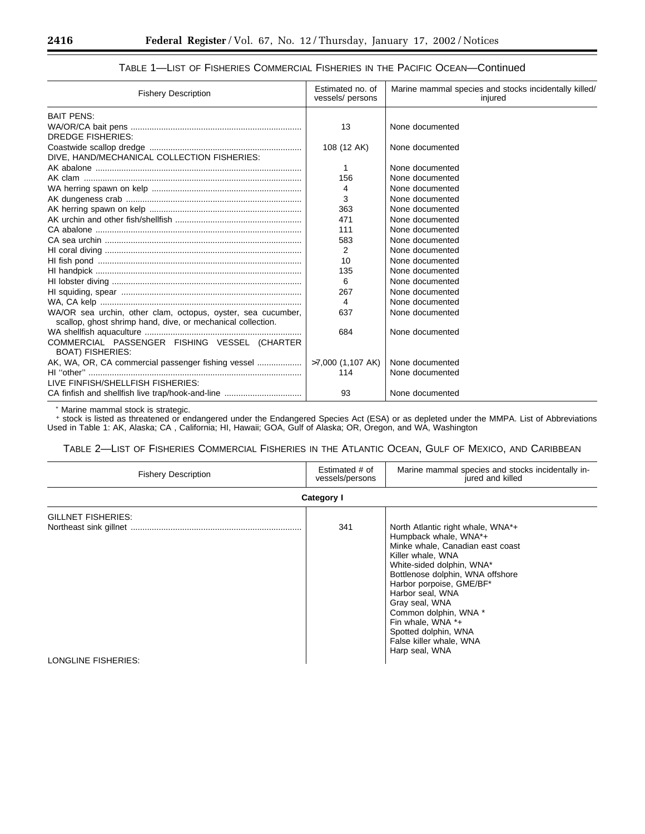| <b>Fishery Description</b>                                              | Estimated no. of<br>vessels/ persons | Marine mammal species and stocks incidentally killed/<br>injured |
|-------------------------------------------------------------------------|--------------------------------------|------------------------------------------------------------------|
| <b>BAIT PENS:</b>                                                       |                                      |                                                                  |
|                                                                         | 13                                   | None documented                                                  |
| DREDGE FISHERIES:                                                       |                                      |                                                                  |
|                                                                         | 108 (12 AK)                          | None documented                                                  |
| DIVE, HAND/MECHANICAL COLLECTION FISHERIES:                             |                                      |                                                                  |
|                                                                         |                                      | None documented                                                  |
|                                                                         | 156                                  | None documented                                                  |
|                                                                         | 4                                    | None documented                                                  |
|                                                                         | 3                                    | None documented                                                  |
|                                                                         | 363                                  | None documented                                                  |
|                                                                         | 471                                  | None documented                                                  |
|                                                                         | 111                                  | None documented                                                  |
|                                                                         | 583                                  | None documented                                                  |
|                                                                         | 2                                    | None documented                                                  |
|                                                                         | 10                                   | None documented                                                  |
|                                                                         | 135                                  | None documented                                                  |
|                                                                         | 6                                    | None documented                                                  |
|                                                                         | 267                                  | None documented                                                  |
|                                                                         | 4                                    | None documented                                                  |
| WA/OR sea urchin, other clam, octopus, oyster, sea cucumber,            | 637                                  | None documented                                                  |
| scallop, ghost shrimp hand, dive, or mechanical collection.             |                                      |                                                                  |
|                                                                         | 684                                  | None documented                                                  |
| COMMERCIAL PASSENGER FISHING VESSEL (CHARTER<br><b>BOAT) FISHERIES:</b> |                                      |                                                                  |
| AK, WA, OR, CA commercial passenger fishing vessel                      | >7,000 (1,107 AK)                    | None documented                                                  |
|                                                                         | 114                                  | None documented                                                  |
| LIVE FINFISH/SHELLFISH FISHERIES:                                       |                                      |                                                                  |
|                                                                         | 93                                   | None documented                                                  |

# TABLE 1—LIST OF FISHERIES COMMERCIAL FISHERIES IN THE PACIFIC OCEAN—Continued

\* Marine mammal stock is strategic.

+ stock is listed as threatened or endangered under the Endangered Species Act (ESA) or as depleted under the MMPA. List of Abbreviations Used in Table 1: AK, Alaska; CA , California; HI, Hawaii; GOA, Gulf of Alaska; OR, Oregon, and WA, Washington

TABLE 2—LIST OF FISHERIES COMMERCIAL FISHERIES IN THE ATLANTIC OCEAN, GULF OF MEXICO, AND CARIBBEAN

| <b>Fishery Description</b> | Estimated # of<br>vessels/persons | Marine mammal species and stocks incidentally in-<br>jured and killed                                                                                                                                                                                                                                                           |
|----------------------------|-----------------------------------|---------------------------------------------------------------------------------------------------------------------------------------------------------------------------------------------------------------------------------------------------------------------------------------------------------------------------------|
|                            | Category I                        |                                                                                                                                                                                                                                                                                                                                 |
| <b>GILLNET FISHERIES:</b>  | 341                               | North Atlantic right whale, WNA*+<br>Humpback whale, WNA*+<br>Minke whale, Canadian east coast<br>Killer whale, WNA<br>White-sided dolphin, WNA*<br>Bottlenose dolphin, WNA offshore<br>Harbor porpoise, GME/BF*<br>Harbor seal, WNA<br>Gray seal, WNA<br>Common dolphin, WNA *<br>Fin whale, WNA $*$ +<br>Spotted dolphin, WNA |
| LONGLINE FISHERIES:        |                                   | False killer whale, WNA<br>Harp seal, WNA                                                                                                                                                                                                                                                                                       |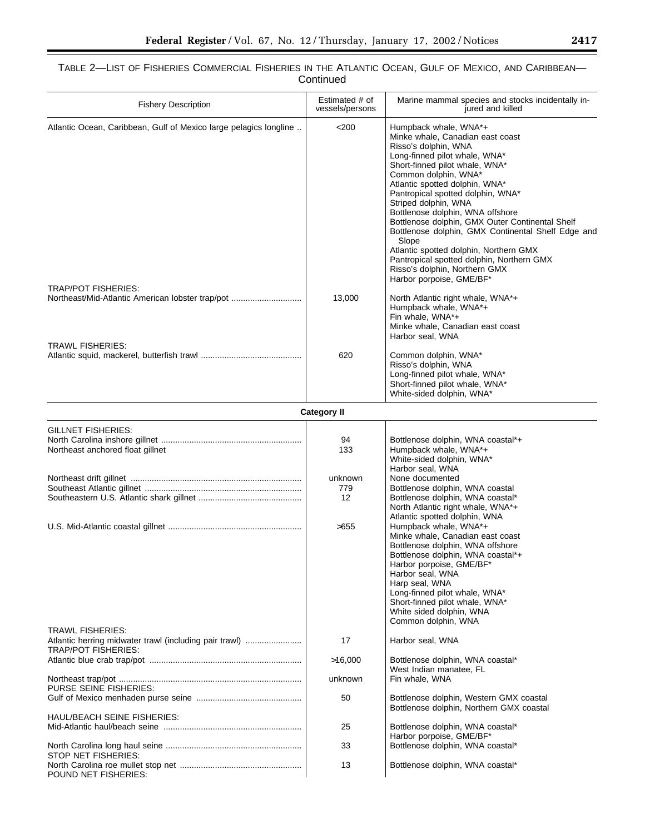# TABLE 2—LIST OF FISHERIES COMMERCIAL FISHERIES IN THE ATLANTIC OCEAN, GULF OF MEXICO, AND CARIBBEAN— Continued

| <b>Fishery Description</b>                                                           | Estimated # of<br>vessels/persons | Marine mammal species and stocks incidentally in-<br>jured and killed                                                                                                                                                                                                                                                                                                                                                                                                                                                                                                                 |
|--------------------------------------------------------------------------------------|-----------------------------------|---------------------------------------------------------------------------------------------------------------------------------------------------------------------------------------------------------------------------------------------------------------------------------------------------------------------------------------------------------------------------------------------------------------------------------------------------------------------------------------------------------------------------------------------------------------------------------------|
| Atlantic Ocean, Caribbean, Gulf of Mexico large pelagics longline                    | $<$ 200                           | Humpback whale, WNA*+<br>Minke whale, Canadian east coast<br>Risso's dolphin, WNA<br>Long-finned pilot whale, WNA*<br>Short-finned pilot whale, WNA*<br>Common dolphin, WNA*<br>Atlantic spotted dolphin, WNA*<br>Pantropical spotted dolphin, WNA*<br>Striped dolphin, WNA<br>Bottlenose dolphin, WNA offshore<br>Bottlenose dolphin, GMX Outer Continental Shelf<br>Bottlenose dolphin, GMX Continental Shelf Edge and<br>Slope<br>Atlantic spotted dolphin, Northern GMX<br>Pantropical spotted dolphin, Northern GMX<br>Risso's dolphin, Northern GMX<br>Harbor porpoise, GME/BF* |
| <b>TRAP/POT FISHERIES:</b><br>Northeast/Mid-Atlantic American lobster trap/pot       | 13,000                            | North Atlantic right whale, WNA*+<br>Humpback whale, WNA*+<br>Fin whale, WNA*+<br>Minke whale, Canadian east coast                                                                                                                                                                                                                                                                                                                                                                                                                                                                    |
| <b>TRAWL FISHERIES:</b>                                                              | 620                               | Harbor seal, WNA<br>Common dolphin, WNA*<br>Risso's dolphin, WNA<br>Long-finned pilot whale, WNA*<br>Short-finned pilot whale, WNA*<br>White-sided dolphin, WNA*                                                                                                                                                                                                                                                                                                                                                                                                                      |
|                                                                                      | <b>Category II</b>                |                                                                                                                                                                                                                                                                                                                                                                                                                                                                                                                                                                                       |
| GILLNET FISHERIES:                                                                   |                                   |                                                                                                                                                                                                                                                                                                                                                                                                                                                                                                                                                                                       |
| Northeast anchored float gillnet                                                     | 94<br>133                         | Bottlenose dolphin, WNA coastal*+<br>Humpback whale, WNA*+<br>White-sided dolphin, WNA*<br>Harbor seal, WNA                                                                                                                                                                                                                                                                                                                                                                                                                                                                           |
|                                                                                      | unknown                           | None documented                                                                                                                                                                                                                                                                                                                                                                                                                                                                                                                                                                       |
|                                                                                      | 779<br>12                         | Bottlenose dolphin, WNA coastal<br>Bottlenose dolphin, WNA coastal*<br>North Atlantic right whale, WNA*+<br>Atlantic spotted dolphin, WNA                                                                                                                                                                                                                                                                                                                                                                                                                                             |
|                                                                                      | >655                              | Humpback whale, WNA*+<br>Minke whale, Canadian east coast<br>Bottlenose dolphin, WNA offshore<br>Bottlenose dolphin, WNA coastal*+<br>Harbor porpoise, GME/BF*<br>Harbor seal. WNA<br>Harp seal, WNA<br>Long-finned pilot whale, WNA*<br>Short-finned pilot whale, WNA*<br>White sided dolphin, WNA<br>Common dolphin, WNA                                                                                                                                                                                                                                                            |
| <b>TRAWL FISHERIES:</b>                                                              |                                   |                                                                                                                                                                                                                                                                                                                                                                                                                                                                                                                                                                                       |
| Atlantic herring midwater trawl (including pair trawl)<br><b>TRAP/POT FISHERIES:</b> | 17                                | Harbor seal, WNA                                                                                                                                                                                                                                                                                                                                                                                                                                                                                                                                                                      |
|                                                                                      | >16,000<br>unknown                | Bottlenose dolphin, WNA coastal*<br>West Indian manatee, FL<br>Fin whale, WNA                                                                                                                                                                                                                                                                                                                                                                                                                                                                                                         |
| PURSE SEINE FISHERIES:                                                               |                                   |                                                                                                                                                                                                                                                                                                                                                                                                                                                                                                                                                                                       |
|                                                                                      | 50                                | Bottlenose dolphin, Western GMX coastal<br>Bottlenose dolphin, Northern GMX coastal                                                                                                                                                                                                                                                                                                                                                                                                                                                                                                   |
| HAUL/BEACH SEINE FISHERIES:                                                          | 25                                | Bottlenose dolphin, WNA coastal*                                                                                                                                                                                                                                                                                                                                                                                                                                                                                                                                                      |
|                                                                                      |                                   | Harbor porpoise, GME/BF*                                                                                                                                                                                                                                                                                                                                                                                                                                                                                                                                                              |
| STOP NET FISHERIES:                                                                  | 33                                | Bottlenose dolphin, WNA coastal*                                                                                                                                                                                                                                                                                                                                                                                                                                                                                                                                                      |
| POUND NET FISHERIES:                                                                 | 13                                | Bottlenose dolphin, WNA coastal*                                                                                                                                                                                                                                                                                                                                                                                                                                                                                                                                                      |

 $\equiv$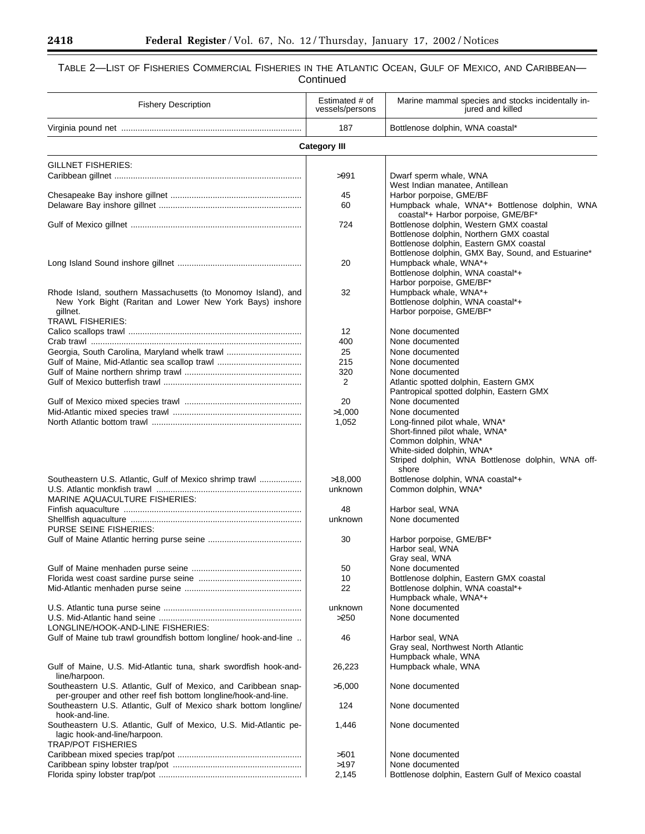e<br>B

## TABLE 2—LIST OF FISHERIES COMMERCIAL FISHERIES IN THE ATLANTIC OCEAN, GULF OF MEXICO, AND CARIBBEAN— Continued

| <b>Fishery Description</b>                                                                                                                                       | Estimated # of<br>vessels/persons | Marine mammal species and stocks incidentally in-<br>jured and killed                                                                                                                |
|------------------------------------------------------------------------------------------------------------------------------------------------------------------|-----------------------------------|--------------------------------------------------------------------------------------------------------------------------------------------------------------------------------------|
|                                                                                                                                                                  | 187                               | Bottlenose dolphin, WNA coastal*                                                                                                                                                     |
|                                                                                                                                                                  | <b>Category III</b>               |                                                                                                                                                                                      |
| GILLNET FISHERIES:                                                                                                                                               |                                   |                                                                                                                                                                                      |
|                                                                                                                                                                  | >991                              | Dwarf sperm whale, WNA<br>West Indian manatee, Antillean                                                                                                                             |
|                                                                                                                                                                  | 45                                | Harbor porpoise, GME/BF                                                                                                                                                              |
|                                                                                                                                                                  | 60                                | Humpback whale, WNA*+ Bottlenose dolphin, WNA<br>coastal*+ Harbor porpoise, GME/BF*                                                                                                  |
|                                                                                                                                                                  | 724                               | Bottlenose dolphin, Western GMX coastal<br>Bottlenose dolphin, Northern GMX coastal<br>Bottlenose dolphin, Eastern GMX coastal<br>Bottlenose dolphin, GMX Bay, Sound, and Estuarine* |
|                                                                                                                                                                  | 20                                | Humpback whale, WNA*+<br>Bottlenose dolphin, WNA coastal*+<br>Harbor porpoise, GME/BF*                                                                                               |
| Rhode Island, southern Massachusetts (to Monomoy Island), and<br>New York Bight (Raritan and Lower New York Bays) inshore<br>gillnet.<br><b>TRAWL FISHERIES:</b> | 32                                | Humpback whale, WNA*+<br>Bottlenose dolphin, WNA coastal*+<br>Harbor porpoise, GME/BF*                                                                                               |
|                                                                                                                                                                  | 12                                | None documented                                                                                                                                                                      |
|                                                                                                                                                                  | 400                               | None documented                                                                                                                                                                      |
| Georgia, South Carolina, Maryland whelk trawl                                                                                                                    | 25                                | None documented                                                                                                                                                                      |
| Gulf of Maine, Mid-Atlantic sea scallop trawl                                                                                                                    | 215                               | None documented                                                                                                                                                                      |
|                                                                                                                                                                  | 320                               | None documented                                                                                                                                                                      |
|                                                                                                                                                                  | 2                                 | Atlantic spotted dolphin, Eastern GMX<br>Pantropical spotted dolphin, Eastern GMX                                                                                                    |
|                                                                                                                                                                  | 20                                | None documented                                                                                                                                                                      |
|                                                                                                                                                                  | >1,000                            | None documented                                                                                                                                                                      |
|                                                                                                                                                                  | 1,052                             | Long-finned pilot whale, WNA*<br>Short-finned pilot whale, WNA*<br>Common dolphin, WNA*<br>White-sided dolphin, WNA*<br>Striped dolphin, WNA Bottlenose dolphin, WNA off-<br>shore   |
| Southeastern U.S. Atlantic, Gulf of Mexico shrimp trawl                                                                                                          | >18,000<br>unknown                | Bottlenose dolphin, WNA coastal*+<br>Common dolphin, WNA*                                                                                                                            |
| <b>MARINE AQUACULTURE FISHERIES:</b>                                                                                                                             |                                   |                                                                                                                                                                                      |
|                                                                                                                                                                  | 48                                | Harbor seal, WNA                                                                                                                                                                     |
| PURSE SEINE FISHERIES:                                                                                                                                           | unknown                           | None documented                                                                                                                                                                      |
|                                                                                                                                                                  | 30                                | Harbor porpoise, GME/BF*<br>Harbor seal, WNA<br>Gray seal, WNA                                                                                                                       |
|                                                                                                                                                                  | 50                                | None documented                                                                                                                                                                      |
|                                                                                                                                                                  | 10                                | Bottlenose dolphin, Eastern GMX coastal                                                                                                                                              |
|                                                                                                                                                                  | 22                                | Bottlenose dolphin, WNA coastal*+<br>Humpback whale, WNA*+                                                                                                                           |
|                                                                                                                                                                  | unknown                           | None documented                                                                                                                                                                      |
|                                                                                                                                                                  | >250                              | None documented                                                                                                                                                                      |
| LONGLINE/HOOK-AND-LINE FISHERIES:<br>Gulf of Maine tub trawl groundfish bottom longline/ hook-and-line                                                           | 46                                | Harbor seal, WNA                                                                                                                                                                     |
| Gulf of Maine, U.S. Mid-Atlantic tuna, shark swordfish hook-and-                                                                                                 | 26,223                            | Gray seal, Northwest North Atlantic<br>Humpback whale, WNA<br>Humpback whale, WNA                                                                                                    |
| line/harpoon.<br>Southeastern U.S. Atlantic, Gulf of Mexico, and Caribbean snap-                                                                                 | >5,000                            | None documented                                                                                                                                                                      |
| per-grouper and other reef fish bottom longline/hook-and-line.<br>Southeastern U.S. Atlantic, Gulf of Mexico shark bottom longline/                              | 124                               | None documented                                                                                                                                                                      |
| hook-and-line.<br>Southeastern U.S. Atlantic, Gulf of Mexico, U.S. Mid-Atlantic pe-<br>lagic hook-and-line/harpoon.<br><b>TRAP/POT FISHERIES</b>                 | 1,446                             | None documented                                                                                                                                                                      |
|                                                                                                                                                                  | >501                              | None documented                                                                                                                                                                      |
|                                                                                                                                                                  | >197                              | None documented                                                                                                                                                                      |
|                                                                                                                                                                  | 2,145                             | Bottlenose dolphin, Eastern Gulf of Mexico coastal                                                                                                                                   |

Ξ